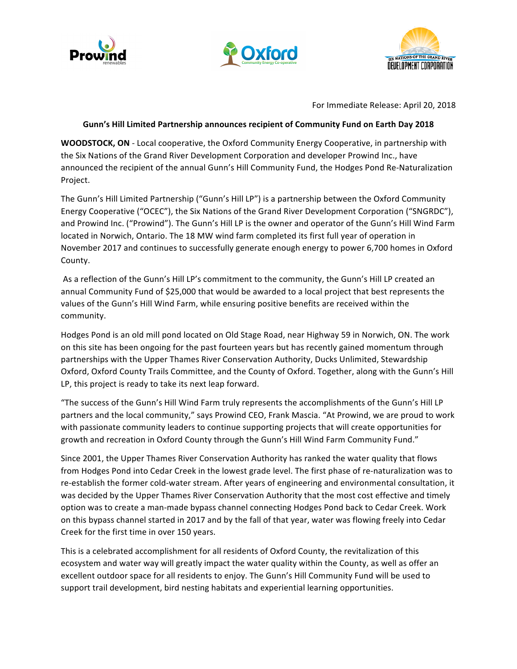





For Immediate Release: April 20, 2018

## Gunn's Hill Limited Partnership announces recipient of Community Fund on Earth Day 2018

**WOODSTOCK, ON** - Local cooperative, the Oxford Community Energy Cooperative, in partnership with the Six Nations of the Grand River Development Corporation and developer Prowind Inc., have announced the recipient of the annual Gunn's Hill Community Fund, the Hodges Pond Re-Naturalization Project. 

The Gunn's Hill Limited Partnership ("Gunn's Hill LP") is a partnership between the Oxford Community Energy Cooperative ("OCEC"), the Six Nations of the Grand River Development Corporation ("SNGRDC"), and Prowind Inc. ("Prowind"). The Gunn's Hill LP is the owner and operator of the Gunn's Hill Wind Farm located in Norwich, Ontario. The 18 MW wind farm completed its first full year of operation in November 2017 and continues to successfully generate enough energy to power 6,700 homes in Oxford County. 

As a reflection of the Gunn's Hill LP's commitment to the community, the Gunn's Hill LP created an annual Community Fund of \$25,000 that would be awarded to a local project that best represents the values of the Gunn's Hill Wind Farm, while ensuring positive benefits are received within the community. 

Hodges Pond is an old mill pond located on Old Stage Road, near Highway 59 in Norwich, ON. The work on this site has been ongoing for the past fourteen years but has recently gained momentum through partnerships with the Upper Thames River Conservation Authority, Ducks Unlimited, Stewardship Oxford, Oxford County Trails Committee, and the County of Oxford. Together, along with the Gunn's Hill LP, this project is ready to take its next leap forward.

"The success of the Gunn's Hill Wind Farm truly represents the accomplishments of the Gunn's Hill LP partners and the local community," says Prowind CEO, Frank Mascia. "At Prowind, we are proud to work with passionate community leaders to continue supporting projects that will create opportunities for growth and recreation in Oxford County through the Gunn's Hill Wind Farm Community Fund."

Since 2001, the Upper Thames River Conservation Authority has ranked the water quality that flows from Hodges Pond into Cedar Creek in the lowest grade level. The first phase of re-naturalization was to re-establish the former cold-water stream. After years of engineering and environmental consultation, it was decided by the Upper Thames River Conservation Authority that the most cost effective and timely option was to create a man-made bypass channel connecting Hodges Pond back to Cedar Creek. Work on this bypass channel started in 2017 and by the fall of that year, water was flowing freely into Cedar Creek for the first time in over 150 years.

This is a celebrated accomplishment for all residents of Oxford County, the revitalization of this ecosystem and water way will greatly impact the water quality within the County, as well as offer an excellent outdoor space for all residents to enjoy. The Gunn's Hill Community Fund will be used to support trail development, bird nesting habitats and experiential learning opportunities.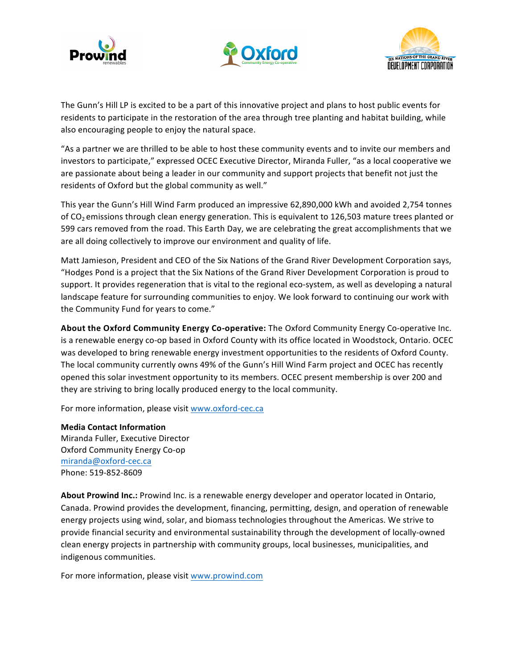





The Gunn's Hill LP is excited to be a part of this innovative project and plans to host public events for residents to participate in the restoration of the area through tree planting and habitat building, while also encouraging people to enjoy the natural space.

"As a partner we are thrilled to be able to host these community events and to invite our members and investors to participate," expressed OCEC Executive Director, Miranda Fuller, "as a local cooperative we are passionate about being a leader in our community and support projects that benefit not just the residents of Oxford but the global community as well."

This year the Gunn's Hill Wind Farm produced an impressive 62,890,000 kWh and avoided 2,754 tonnes of  $CO<sub>2</sub>$  emissions through clean energy generation. This is equivalent to 126,503 mature trees planted or 599 cars removed from the road. This Earth Day, we are celebrating the great accomplishments that we are all doing collectively to improve our environment and quality of life.

Matt Jamieson, President and CEO of the Six Nations of the Grand River Development Corporation says, "Hodges Pond is a project that the Six Nations of the Grand River Development Corporation is proud to support. It provides regeneration that is vital to the regional eco-system, as well as developing a natural landscape feature for surrounding communities to enjoy. We look forward to continuing our work with the Community Fund for years to come."

**About the Oxford Community Energy Co-operative:** The Oxford Community Energy Co-operative Inc. is a renewable energy co-op based in Oxford County with its office located in Woodstock, Ontario. OCEC was developed to bring renewable energy investment opportunities to the residents of Oxford County. The local community currently owns 49% of the Gunn's Hill Wind Farm project and OCEC has recently opened this solar investment opportunity to its members. OCEC present membership is over 200 and they are striving to bring locally produced energy to the local community.

For more information, please visit www.oxford-cec.ca

**Media Contact Information** Miranda Fuller, Executive Director Oxford Community Energy Co-op miranda@oxford-cec.ca Phone: 519-852-8609

About Prowind Inc.: Prowind Inc. is a renewable energy developer and operator located in Ontario, Canada. Prowind provides the development, financing, permitting, design, and operation of renewable energy projects using wind, solar, and biomass technologies throughout the Americas. We strive to provide financial security and environmental sustainability through the development of locally-owned clean energy projects in partnership with community groups, local businesses, municipalities, and indigenous communities.

For more information, please visit www.prowind.com